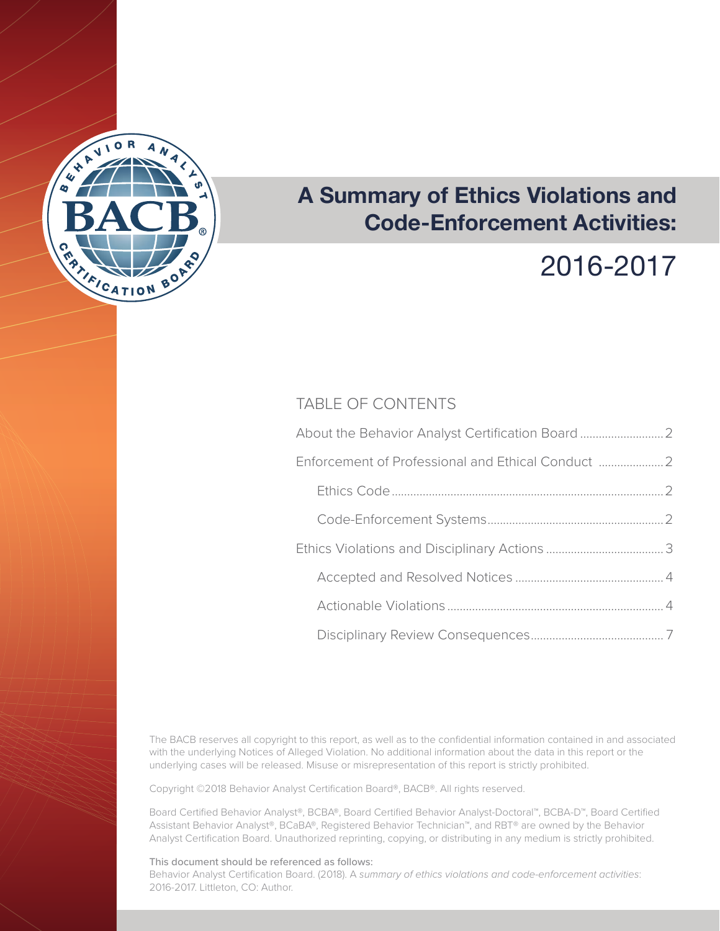

## **A Summary of Ethics Violations and Code-Enforcement Activities:**

# 2016-2017

### TABLE OF CONTENTS

| About the Behavior Analyst Certification Board     |  |
|----------------------------------------------------|--|
| Enforcement of Professional and Ethical Conduct  2 |  |
|                                                    |  |
|                                                    |  |
|                                                    |  |
|                                                    |  |
|                                                    |  |
|                                                    |  |
|                                                    |  |

The BACB reserves all copyright to this report, as well as to the confidential information contained in and associated with the underlying Notices of Alleged Violation. No additional information about the data in this report or the underlying cases will be released. Misuse or misrepresentation of this report is strictly prohibited.

Copyright ©2018 Behavior Analyst Certification Board®, BACB®. All rights reserved.

Board Certified Behavior Analyst®, BCBA®, Board Certified Behavior Analyst-Doctoral™, BCBA-D™, Board Certified Assistant Behavior Analyst®, BCaBA®, Registered Behavior Technician™, and RBT® are owned by the Behavior Analyst Certification Board. Unauthorized reprinting, copying, or distributing in any medium is strictly prohibited.

#### This document should be referenced as follows:

Behavior Analyst Certification Board. (2018). A *summary of ethics violations and code-enforcement activities*: 2016-2017. Littleton, CO: Author.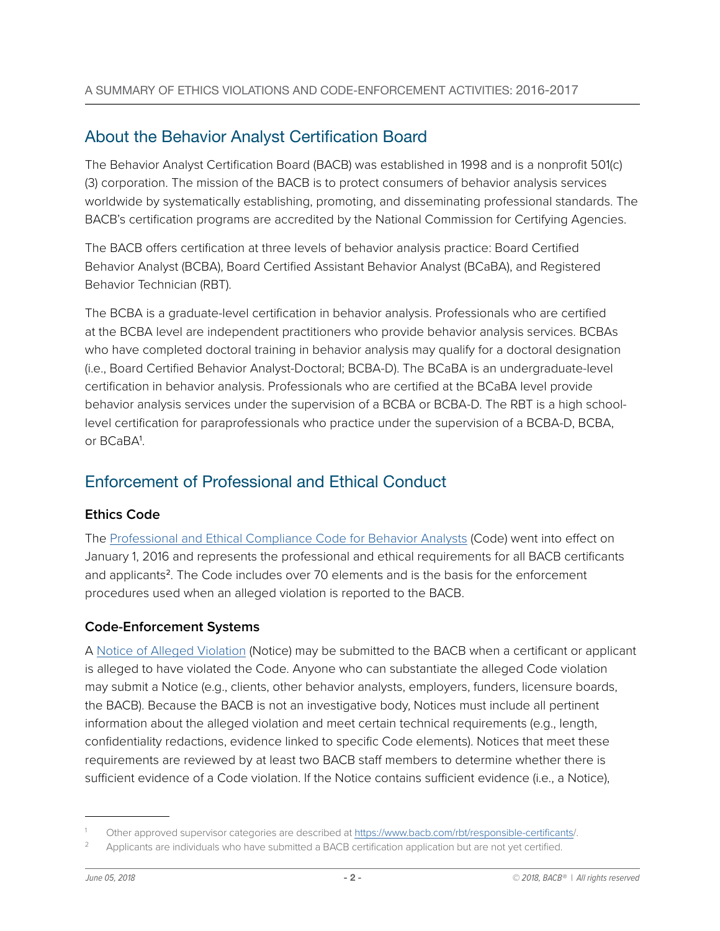### <span id="page-1-0"></span>About the Behavior Analyst Certification Board

The Behavior Analyst Certification Board (BACB) was established in 1998 and is a nonprofit 501(c) (3) corporation. The mission of the BACB is to protect consumers of behavior analysis services worldwide by systematically establishing, promoting, and disseminating professional standards. The BACB's certification programs are accredited by the National Commission for Certifying Agencies.

The BACB offers certification at three levels of behavior analysis practice: Board Certified Behavior Analyst (BCBA), Board Certified Assistant Behavior Analyst (BCaBA), and Registered Behavior Technician (RBT).

The BCBA is a graduate-level certification in behavior analysis. Professionals who are certified at the BCBA level are independent practitioners who provide behavior analysis services. BCBAs who have completed doctoral training in behavior analysis may qualify for a doctoral designation (i.e., Board Certified Behavior Analyst-Doctoral; BCBA-D). The BCaBA is an undergraduate-level certification in behavior analysis. Professionals who are certified at the BCaBA level provide behavior analysis services under the supervision of a BCBA or BCBA-D. The RBT is a high schoollevel certification for paraprofessionals who practice under the supervision of a BCBA-D, BCBA, or BCaBA<sup>1</sup> .

### Enforcement of Professional and Ethical Conduct

### **Ethics Code**

The [Professional and Ethical Compliance Code for Behavior Analysts](https://www.bacb.com/ethics/ethics-code/) (Code) went into effect on January 1, 2016 and represents the professional and ethical requirements for all BACB certificants and applicants<sup>2</sup>. The Code includes over 70 elements and is the basis for the enforcement procedures used when an alleged violation is reported to the BACB.

### **Code-Enforcement Systems**

A [Notice of Alleged Violation](https://www.bacb.com/notice/) (Notice) may be submitted to the BACB when a certificant or applicant is alleged to have violated the Code. Anyone who can substantiate the alleged Code violation may submit a Notice (e.g., clients, other behavior analysts, employers, funders, licensure boards, the BACB). Because the BACB is not an investigative body, Notices must include all pertinent information about the alleged violation and meet certain technical requirements (e.g., length, confidentiality redactions, evidence linked to specific Code elements). Notices that meet these requirements are reviewed by at least two BACB staff members to determine whether there is sufficient evidence of a Code violation. If the Notice contains sufficient evidence (i.e., a Notice),

<sup>1</sup> Other approved supervisor categories are described at https://www.bacb.com/rbt/responsible-certificants/.

Applicants are individuals who have submitted a BACB certification application but are not yet certified.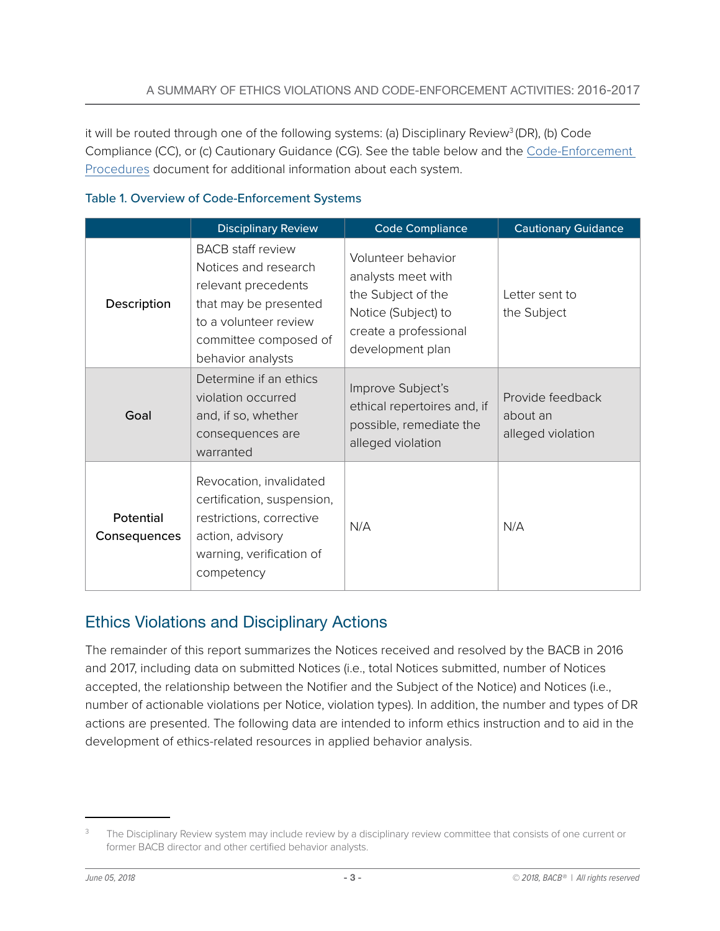<span id="page-2-0"></span>it will be routed through one of the following systems: (a) Disciplinary Review<sup>3</sup> (DR), (b) Code Compliance (CC), or (c) Cautionary Guidance (CG). See the table below and the [Code-Enforcement](https://www.bacb.com/wp-content/uploads/BACB_CodeEnforcement_Procedures.pdf)  [Procedures](https://www.bacb.com/wp-content/uploads/BACB_CodeEnforcement_Procedures.pdf) document for additional information about each system.

|                           | <b>Disciplinary Review</b>                                                                                                                                              | <b>Code Compliance</b>                                                                                                             | <b>Cautionary Guidance</b>                        |
|---------------------------|-------------------------------------------------------------------------------------------------------------------------------------------------------------------------|------------------------------------------------------------------------------------------------------------------------------------|---------------------------------------------------|
| Description               | <b>BACB</b> staff review<br>Notices and research<br>relevant precedents<br>that may be presented<br>to a volunteer review<br>committee composed of<br>behavior analysts | Volunteer behavior<br>analysts meet with<br>the Subject of the<br>Notice (Subject) to<br>create a professional<br>development plan | Letter sent to<br>the Subject                     |
| Goal                      | Determine if an ethics<br>violation occurred<br>and, if so, whether<br>consequences are<br>warranted                                                                    | Improve Subject's<br>ethical repertoires and, if<br>possible, remediate the<br>alleged violation                                   | Provide feedback<br>about an<br>alleged violation |
| Potential<br>Consequences | Revocation, invalidated<br>certification, suspension,<br>restrictions, corrective<br>action, advisory<br>warning, verification of<br>competency                         | N/A                                                                                                                                | N/A                                               |

#### Table 1. Overview of Code-Enforcement Systems

### Ethics Violations and Disciplinary Actions

The remainder of this report summarizes the Notices received and resolved by the BACB in 2016 and 2017, including data on submitted Notices (i.e., total Notices submitted, number of Notices accepted, the relationship between the Notifier and the Subject of the Notice) and Notices (i.e., number of actionable violations per Notice, violation types). In addition, the number and types of DR actions are presented. The following data are intended to inform ethics instruction and to aid in the development of ethics-related resources in applied behavior analysis.

<sup>&</sup>lt;sup>3</sup> The Disciplinary Review system may include review by a disciplinary review committee that consists of one current or former BACB director and other certified behavior analysts.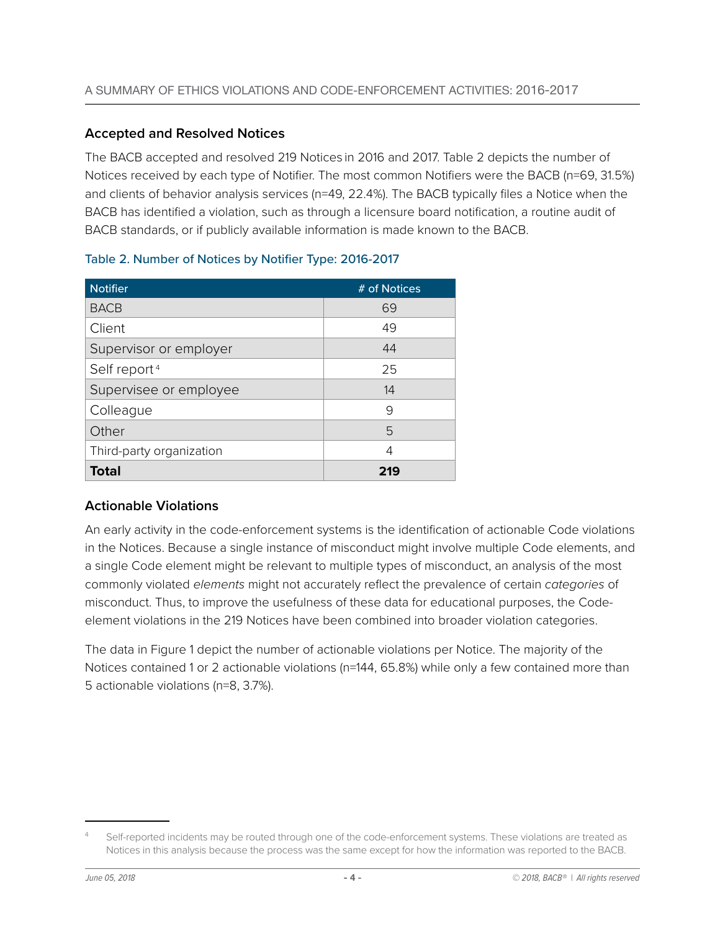### <span id="page-3-0"></span>**Accepted and Resolved Notices**

The BACB accepted and resolved 219 Notices in 2016 and 2017. Table 2 depicts the number of Notices received by each type of Notifier. The most common Notifiers were the BACB (n=69, 31.5%) and clients of behavior analysis services (n=49, 22.4%). The BACB typically files a Notice when the BACB has identified a violation, such as through a licensure board notification, a routine audit of BACB standards, or if publicly available information is made known to the BACB.

| <b>Notifier</b>          | # of Notices |
|--------------------------|--------------|
| <b>BACB</b>              | 69           |
| Client                   | 49           |
| Supervisor or employer   | 44           |
| Self report <sup>4</sup> | 25           |
| Supervisee or employee   | 14           |
| Colleague                | 9            |
| Other                    | 5            |
| Third-party organization | 4            |
| Total                    | 219          |

#### Table 2. Number of Notices by Notifier Type: 2016-2017

### **Actionable Violations**

An early activity in the code-enforcement systems is the identification of actionable Code violations in the Notices. Because a single instance of misconduct might involve multiple Code elements, and a single Code element might be relevant to multiple types of misconduct, an analysis of the most commonly violated *elements* might not accurately reflect the prevalence of certain *categories* of misconduct. Thus, to improve the usefulness of these data for educational purposes, the Codeelement violations in the 219 Notices have been combined into broader violation categories.

The data in Figure 1 depict the number of actionable violations per Notice. The majority of the Notices contained 1 or 2 actionable violations (n=144, 65.8%) while only a few contained more than 5 actionable violations (n=8, 3.7%).

Self-reported incidents may be routed through one of the code-enforcement systems. These violations are treated as Notices in this analysis because the process was the same except for how the information was reported to the BACB.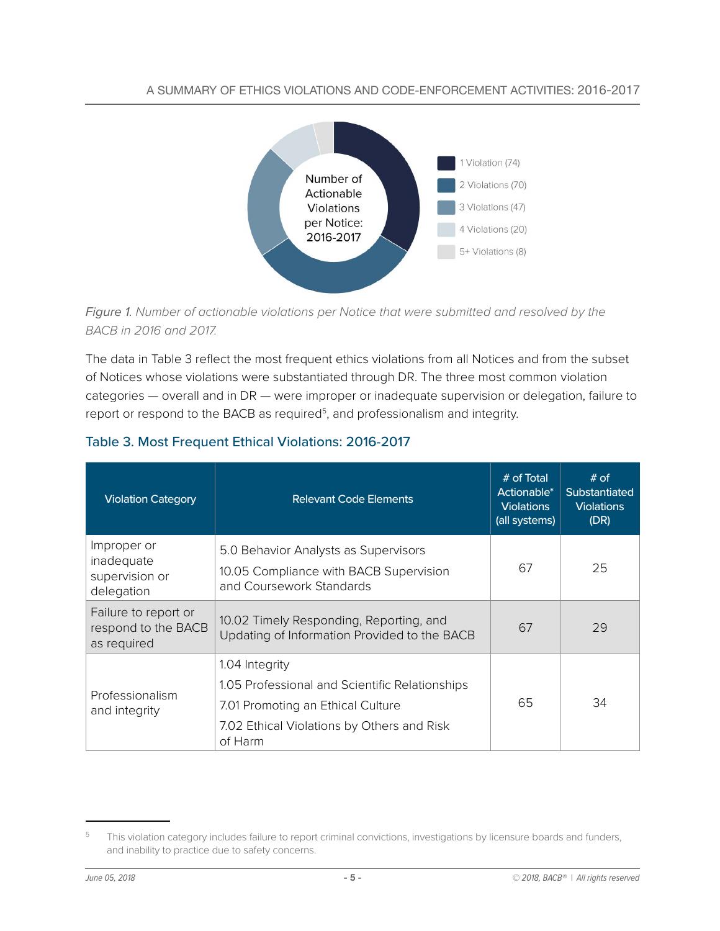#### A SUMMARY OF ETHICS VIOLATIONS AND CODE-ENFORCEMENT ACTIVITIES: 2016-2017





The data in Table 3 reflect the most frequent ethics violations from all Notices and from the subset of Notices whose violations were substantiated through DR. The three most common violation categories — overall and in DR — were improper or inadequate supervision or delegation, failure to report or respond to the BACB as required<sup>5</sup>, and professionalism and integrity.

| <b>Violation Category</b>                                  | <b>Relevant Code Elements</b>                                                                              | # of Total<br>Actionable*<br><b>Violations</b><br>(all systems) | $#$ of<br><b>Substantiated</b><br><b>Violations</b><br>(DR) |
|------------------------------------------------------------|------------------------------------------------------------------------------------------------------------|-----------------------------------------------------------------|-------------------------------------------------------------|
| Improper or<br>inadequate<br>supervision or<br>delegation  | 5.0 Behavior Analysts as Supervisors<br>10.05 Compliance with BACB Supervision<br>and Coursework Standards | 67                                                              | 25                                                          |
| Failure to report or<br>respond to the BACB<br>as required | 10.02 Timely Responding, Reporting, and<br>Updating of Information Provided to the BACB                    | 67                                                              | 29                                                          |
|                                                            | 1.04 Integrity                                                                                             |                                                                 |                                                             |
| Professionalism                                            | 1.05 Professional and Scientific Relationships                                                             |                                                                 |                                                             |
| and integrity                                              | 7.01 Promoting an Ethical Culture                                                                          | 65                                                              | 34                                                          |
|                                                            | 7.02 Ethical Violations by Others and Risk<br>of Harm                                                      |                                                                 |                                                             |

### Table 3. Most Frequent Ethical Violations: 2016-2017

<sup>&</sup>lt;sup>5</sup> This violation category includes failure to report criminal convictions, investigations by licensure boards and funders, and inability to practice due to safety concerns.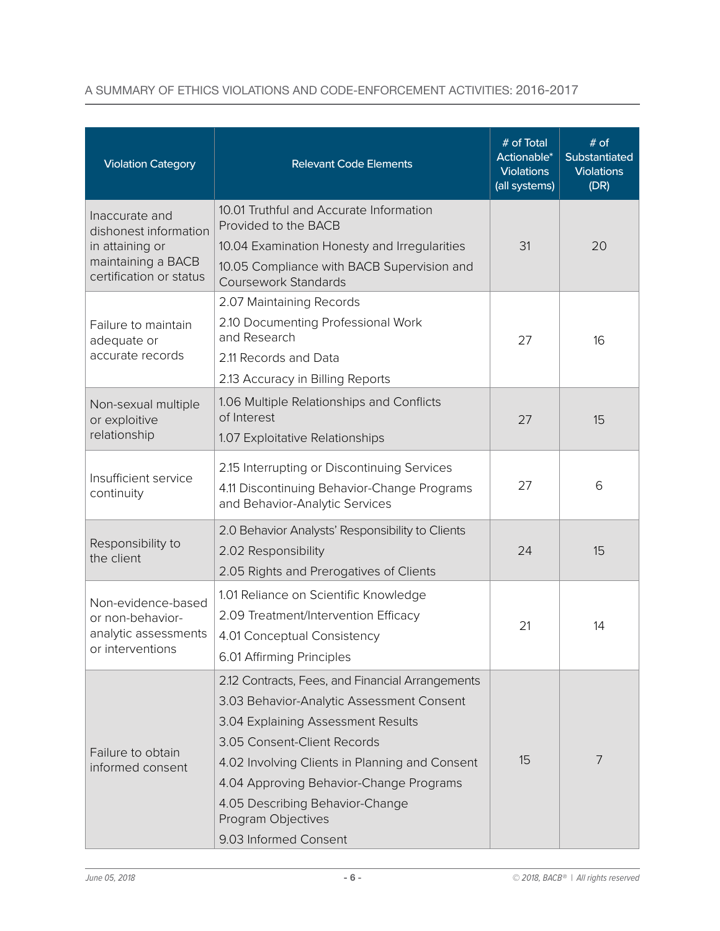### A SUMMARY OF ETHICS VIOLATIONS AND CODE-ENFORCEMENT ACTIVITIES: 2016-2017

| <b>Violation Category</b>                                                          | <b>Relevant Code Elements</b>                                                                                                             | # of Total<br>Actionable*<br><b>Violations</b><br>(all systems) | # of<br>Substantiated<br><b>Violations</b><br>(DR) |
|------------------------------------------------------------------------------------|-------------------------------------------------------------------------------------------------------------------------------------------|-----------------------------------------------------------------|----------------------------------------------------|
| Inaccurate and<br>dishonest information                                            | 10.01 Truthful and Accurate Information<br>Provided to the BACB                                                                           |                                                                 |                                                    |
| in attaining or                                                                    | 10.04 Examination Honesty and Irregularities                                                                                              | 31                                                              | 20                                                 |
| maintaining a BACB<br>certification or status                                      | 10.05 Compliance with BACB Supervision and<br><b>Coursework Standards</b>                                                                 |                                                                 |                                                    |
|                                                                                    | 2.07 Maintaining Records                                                                                                                  |                                                                 |                                                    |
| Failure to maintain<br>adequate or                                                 | 2.10 Documenting Professional Work<br>and Research                                                                                        | 27                                                              | 16                                                 |
| accurate records                                                                   | 2.11 Records and Data                                                                                                                     |                                                                 |                                                    |
|                                                                                    | 2.13 Accuracy in Billing Reports                                                                                                          |                                                                 |                                                    |
| Non-sexual multiple<br>or exploitive                                               | 1.06 Multiple Relationships and Conflicts<br>of Interest                                                                                  | 27                                                              | 15                                                 |
| relationship                                                                       | 1.07 Exploitative Relationships                                                                                                           |                                                                 |                                                    |
| Insufficient service<br>continuity                                                 | 2.15 Interrupting or Discontinuing Services<br>4.11 Discontinuing Behavior-Change Programs                                                | 27                                                              | 6                                                  |
|                                                                                    | and Behavior-Analytic Services                                                                                                            |                                                                 |                                                    |
| Responsibility to                                                                  | 2.0 Behavior Analysts' Responsibility to Clients<br>2.02 Responsibility                                                                   | 24                                                              | 15                                                 |
| the client                                                                         | 2.05 Rights and Prerogatives of Clients                                                                                                   |                                                                 |                                                    |
| Non-evidence-based<br>or non-behavior-<br>analytic assessments<br>or interventions | 1.01 Reliance on Scientific Knowledge<br>2.09 Treatment/Intervention Efficacy<br>4.01 Conceptual Consistency<br>6.01 Affirming Principles | 21                                                              | 14                                                 |
|                                                                                    | 2.12 Contracts, Fees, and Financial Arrangements                                                                                          |                                                                 |                                                    |
|                                                                                    | 3.03 Behavior-Analytic Assessment Consent                                                                                                 |                                                                 |                                                    |
|                                                                                    | 3.04 Explaining Assessment Results                                                                                                        |                                                                 |                                                    |
|                                                                                    | 3.05 Consent-Client Records                                                                                                               |                                                                 |                                                    |
| Failure to obtain<br>informed consent                                              | 4.02 Involving Clients in Planning and Consent                                                                                            | 15                                                              | 7                                                  |
|                                                                                    | 4.04 Approving Behavior-Change Programs                                                                                                   |                                                                 |                                                    |
|                                                                                    | 4.05 Describing Behavior-Change<br>Program Objectives                                                                                     |                                                                 |                                                    |
|                                                                                    | 9.03 Informed Consent                                                                                                                     |                                                                 |                                                    |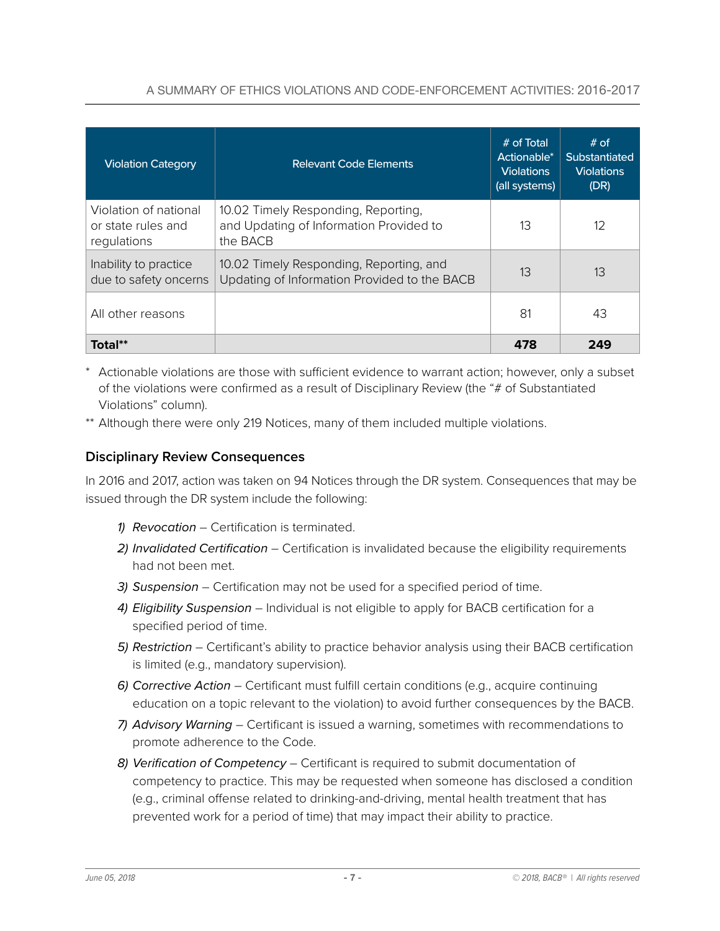### A SUMMARY OF ETHICS VIOLATIONS AND CODE-ENFORCEMENT ACTIVITIES: 2016-2017

<span id="page-6-0"></span>

| <b>Violation Category</b>                                  | <b>Relevant Code Elements</b>                                                              | $#$ of Total<br>Actionable*<br><b>Violations</b><br>(all systems) | # of<br><b>Substantiated</b><br><b>Violations</b><br>(DR) |
|------------------------------------------------------------|--------------------------------------------------------------------------------------------|-------------------------------------------------------------------|-----------------------------------------------------------|
| Violation of national<br>or state rules and<br>regulations | 10.02 Timely Responding, Reporting,<br>and Updating of Information Provided to<br>the BACB | 13                                                                | 12                                                        |
| Inability to practice<br>due to safety oncerns             | 10.02 Timely Responding, Reporting, and<br>Updating of Information Provided to the BACB    | 13                                                                | 13                                                        |
| All other reasons                                          |                                                                                            | 81                                                                | 43                                                        |
| Total**                                                    |                                                                                            | 478                                                               | 249                                                       |

- \* Actionable violations are those with sufficient evidence to warrant action; however, only a subset of the violations were confirmed as a result of Disciplinary Review (the "# of Substantiated Violations" column).
- \*\* Although there were only 219 Notices, many of them included multiple violations.

### **Disciplinary Review Consequences**

In 2016 and 2017, action was taken on 94 Notices through the DR system. Consequences that may be issued through the DR system include the following:

- *1) Revocation* Certification is terminated.
- *2) Invalidated Certification* Certification is invalidated because the eligibility requirements had not been met.
- *3) Suspension* Certification may not be used for a specified period of time.
- *4) Eligibility Suspension* Individual is not eligible to apply for BACB certification for a specified period of time.
- *5) Restriction* Certificant's ability to practice behavior analysis using their BACB certification is limited (e.g., mandatory supervision).
- *6) Corrective Action* Certificant must fulfill certain conditions (e.g., acquire continuing education on a topic relevant to the violation) to avoid further consequences by the BACB.
- *7) Advisory Warning* Certificant is issued a warning, sometimes with recommendations to promote adherence to the Code.
- *8) Verification of Competency* Certificant is required to submit documentation of competency to practice. This may be requested when someone has disclosed a condition (e.g., criminal offense related to drinking-and-driving, mental health treatment that has prevented work for a period of time) that may impact their ability to practice.